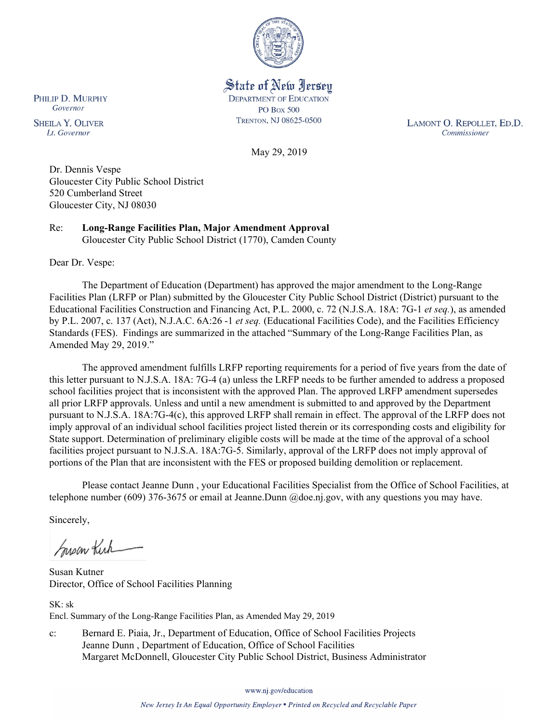

State of New Jersey **DEPARTMENT OF EDUCATION PO Box 500** TRENTON, NJ 08625-0500

LAMONT O. REPOLLET, ED.D. Commissioner

May 29, 2019

Dr. Dennis Vespe Gloucester City Public School District 520 Cumberland Street

Gloucester City, NJ 08030

Re: **Long-Range Facilities Plan, Major Amendment Approval** Gloucester City Public School District (1770), Camden County

Dear Dr. Vespe:

PHILIP D. MURPHY Governor

**SHEILA Y. OLIVER** 

Lt. Governor

The Department of Education (Department) has approved the major amendment to the Long-Range Facilities Plan (LRFP or Plan) submitted by the Gloucester City Public School District (District) pursuant to the Educational Facilities Construction and Financing Act, P.L. 2000, c. 72 (N.J.S.A. 18A: 7G-1 *et seq.*), as amended by P.L. 2007, c. 137 (Act), N.J.A.C. 6A:26 -1 *et seq.* (Educational Facilities Code), and the Facilities Efficiency Standards (FES). Findings are summarized in the attached "Summary of the Long-Range Facilities Plan, as Amended May 29, 2019."

The approved amendment fulfills LRFP reporting requirements for a period of five years from the date of this letter pursuant to N.J.S.A. 18A: 7G-4 (a) unless the LRFP needs to be further amended to address a proposed school facilities project that is inconsistent with the approved Plan. The approved LRFP amendment supersedes all prior LRFP approvals. Unless and until a new amendment is submitted to and approved by the Department pursuant to N.J.S.A. 18A:7G-4(c), this approved LRFP shall remain in effect. The approval of the LRFP does not imply approval of an individual school facilities project listed therein or its corresponding costs and eligibility for State support. Determination of preliminary eligible costs will be made at the time of the approval of a school facilities project pursuant to N.J.S.A. 18A:7G-5. Similarly, approval of the LRFP does not imply approval of portions of the Plan that are inconsistent with the FES or proposed building demolition or replacement.

Please contact Jeanne Dunn , your Educational Facilities Specialist from the Office of School Facilities, at telephone number (609) 376-3675 or email at Jeanne.Dunn @doe.nj.gov, with any questions you may have.

Sincerely,

Susan Kich

Susan Kutner Director, Office of School Facilities Planning

SK: sk Encl. Summary of the Long-Range Facilities Plan, as Amended May 29, 2019

c: Bernard E. Piaia, Jr., Department of Education, Office of School Facilities Projects Jeanne Dunn , Department of Education, Office of School Facilities Margaret McDonnell, Gloucester City Public School District, Business Administrator

www.nj.gov/education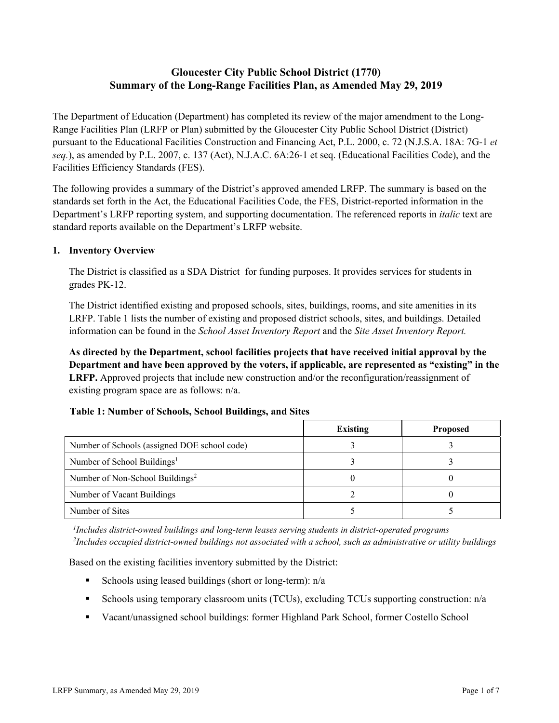# **Gloucester City Public School District (1770) Summary of the Long-Range Facilities Plan, as Amended May 29, 2019**

The Department of Education (Department) has completed its review of the major amendment to the Long-Range Facilities Plan (LRFP or Plan) submitted by the Gloucester City Public School District (District) pursuant to the Educational Facilities Construction and Financing Act, P.L. 2000, c. 72 (N.J.S.A. 18A: 7G-1 *et seq.*), as amended by P.L. 2007, c. 137 (Act), N.J.A.C. 6A:26-1 et seq. (Educational Facilities Code), and the Facilities Efficiency Standards (FES).

The following provides a summary of the District's approved amended LRFP. The summary is based on the standards set forth in the Act, the Educational Facilities Code, the FES, District-reported information in the Department's LRFP reporting system, and supporting documentation. The referenced reports in *italic* text are standard reports available on the Department's LRFP website.

#### **1. Inventory Overview**

The District is classified as a SDA District for funding purposes. It provides services for students in grades PK-12.

The District identified existing and proposed schools, sites, buildings, rooms, and site amenities in its LRFP. Table 1 lists the number of existing and proposed district schools, sites, and buildings. Detailed information can be found in the *School Asset Inventory Report* and the *Site Asset Inventory Report.*

**As directed by the Department, school facilities projects that have received initial approval by the Department and have been approved by the voters, if applicable, are represented as "existing" in the LRFP.** Approved projects that include new construction and/or the reconfiguration/reassignment of existing program space are as follows: n/a.

|                                              | <b>Existing</b> | <b>Proposed</b> |
|----------------------------------------------|-----------------|-----------------|
| Number of Schools (assigned DOE school code) |                 |                 |
| Number of School Buildings <sup>1</sup>      |                 |                 |
| Number of Non-School Buildings <sup>2</sup>  |                 |                 |
| Number of Vacant Buildings                   |                 |                 |
| Number of Sites                              |                 |                 |

#### **Table 1: Number of Schools, School Buildings, and Sites**

*1 Includes district-owned buildings and long-term leases serving students in district-operated programs 2 Includes occupied district-owned buildings not associated with a school, such as administrative or utility buildings*

Based on the existing facilities inventory submitted by the District:

- Schools using leased buildings (short or long-term):  $n/a$
- Schools using temporary classroom units (TCUs), excluding TCUs supporting construction: n/a
- Vacant/unassigned school buildings: former Highland Park School, former Costello School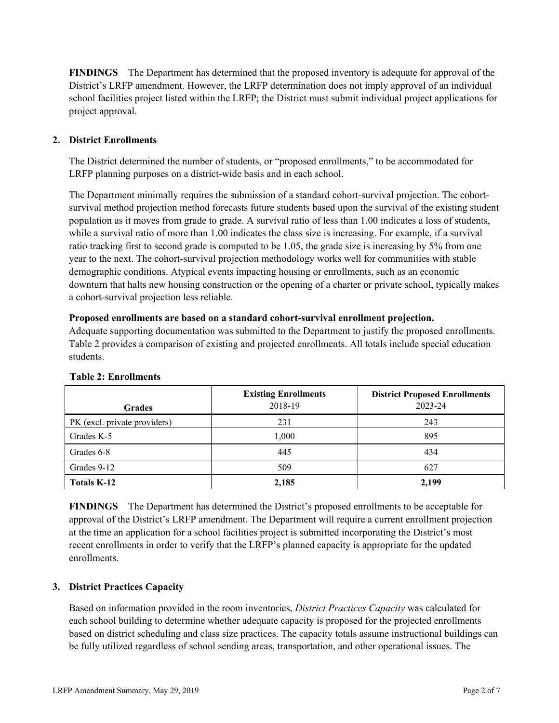**FINDINGS** The Department has determined that the proposed inventory is adequate for approval of the District's LRFP amendment. However, the LRFP determination does not imply approval of an individual school facilities project listed within the LRFP; the District must submit individual project applications for project approval.

# **2. District Enrollments**

The District determined the number of students, or "proposed enrollments," to be accommodated for LRFP planning purposes on a district-wide basis and in each school.

The Department minimally requires the submission of a standard cohort-survival projection. The cohortsurvival method projection method forecasts future students based upon the survival of the existing student population as it moves from grade to grade. A survival ratio of less than 1.00 indicates a loss of students, while a survival ratio of more than 1.00 indicates the class size is increasing. For example, if a survival ratio tracking first to second grade is computed to be 1.05, the grade size is increasing by 5% from one year to the next. The cohort-survival projection methodology works well for communities with stable demographic conditions. Atypical events impacting housing or enrollments, such as an economic downturn that halts new housing construction or the opening of a charter or private school, typically makes a cohort-survival projection less reliable.

#### **Proposed enrollments are based on a standard cohort-survival enrollment projection.**

Adequate supporting documentation was submitted to the Department to justify the proposed enrollments. Table 2 provides a comparison of existing and projected enrollments. All totals include special education students.

| <b>Grades</b>                | <b>Existing Enrollments</b><br>2018-19 | <b>District Proposed Enrollments</b><br>2023-24 |
|------------------------------|----------------------------------------|-------------------------------------------------|
| PK (excl. private providers) | 231                                    | 243                                             |
| Grades K-5                   | 1,000                                  | 895                                             |
| Grades 6-8                   | 445                                    | 434                                             |
| Grades 9-12                  | 509                                    | 627                                             |
| Totals K-12                  | 2,185                                  | 2,199                                           |

#### **Table 2: Enrollments**

**FINDINGS** The Department has determined the District's proposed enrollments to be acceptable for approval of the District's LRFP amendment. The Department will require a current enrollment projection at the time an application for a school facilities project is submitted incorporating the District's most recent enrollments in order to verify that the LRFP's planned capacity is appropriate for the updated enrollments.

# **3. District Practices Capacity**

Based on information provided in the room inventories, *District Practices Capacity* was calculated for each school building to determine whether adequate capacity is proposed for the projected enrollments based on district scheduling and class size practices. The capacity totals assume instructional buildings can be fully utilized regardless of school sending areas, transportation, and other operational issues. The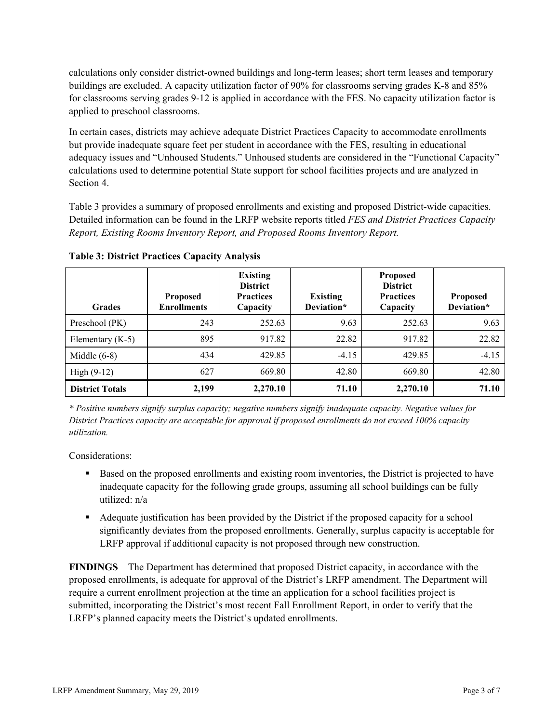calculations only consider district-owned buildings and long-term leases; short term leases and temporary buildings are excluded. A capacity utilization factor of 90% for classrooms serving grades K-8 and 85% for classrooms serving grades 9-12 is applied in accordance with the FES. No capacity utilization factor is applied to preschool classrooms.

In certain cases, districts may achieve adequate District Practices Capacity to accommodate enrollments but provide inadequate square feet per student in accordance with the FES, resulting in educational adequacy issues and "Unhoused Students." Unhoused students are considered in the "Functional Capacity" calculations used to determine potential State support for school facilities projects and are analyzed in Section 4.

Table 3 provides a summary of proposed enrollments and existing and proposed District-wide capacities. Detailed information can be found in the LRFP website reports titled *FES and District Practices Capacity Report, Existing Rooms Inventory Report, and Proposed Rooms Inventory Report.*

| <b>Grades</b>          | <b>Proposed</b><br><b>Enrollments</b> | <b>Existing</b><br><b>District</b><br><b>Practices</b><br>Capacity | <b>Existing</b><br>Deviation* | <b>Proposed</b><br><b>District</b><br><b>Practices</b><br>Capacity | <b>Proposed</b><br>Deviation* |
|------------------------|---------------------------------------|--------------------------------------------------------------------|-------------------------------|--------------------------------------------------------------------|-------------------------------|
| Preschool (PK)         | 243                                   | 252.63                                                             | 9.63                          | 252.63                                                             | 9.63                          |
| Elementary $(K-5)$     | 895                                   | 917.82                                                             | 22.82                         | 917.82                                                             | 22.82                         |
| Middle $(6-8)$         | 434                                   | 429.85                                                             | $-4.15$                       | 429.85                                                             | $-4.15$                       |
| $High (9-12)$          | 627                                   | 669.80                                                             | 42.80                         | 669.80                                                             | 42.80                         |
| <b>District Totals</b> | 2,199                                 | 2,270.10                                                           | 71.10                         | 2,270.10                                                           | 71.10                         |

**Table 3: District Practices Capacity Analysis**

*\* Positive numbers signify surplus capacity; negative numbers signify inadequate capacity. Negative values for District Practices capacity are acceptable for approval if proposed enrollments do not exceed 100% capacity utilization.*

Considerations:

- Based on the proposed enrollments and existing room inventories, the District is projected to have inadequate capacity for the following grade groups, assuming all school buildings can be fully utilized: n/a
- Adequate justification has been provided by the District if the proposed capacity for a school significantly deviates from the proposed enrollments. Generally, surplus capacity is acceptable for LRFP approval if additional capacity is not proposed through new construction.

**FINDINGS**The Department has determined that proposed District capacity, in accordance with the proposed enrollments, is adequate for approval of the District's LRFP amendment. The Department will require a current enrollment projection at the time an application for a school facilities project is submitted, incorporating the District's most recent Fall Enrollment Report, in order to verify that the LRFP's planned capacity meets the District's updated enrollments.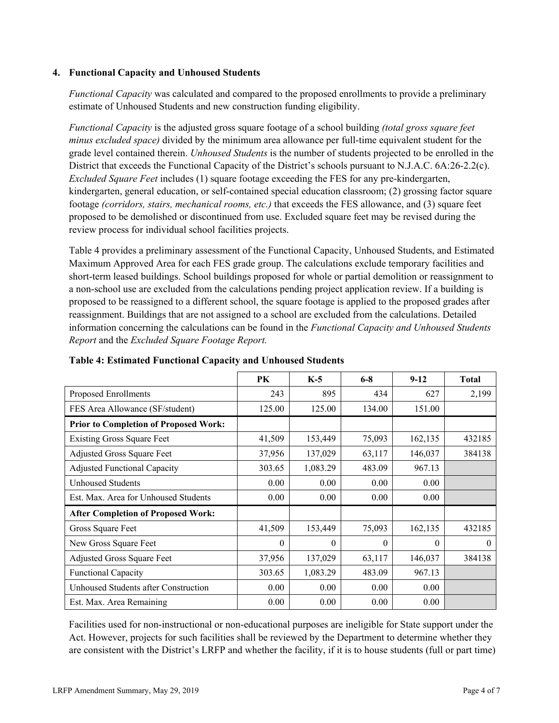### **4. Functional Capacity and Unhoused Students**

*Functional Capacity* was calculated and compared to the proposed enrollments to provide a preliminary estimate of Unhoused Students and new construction funding eligibility.

*Functional Capacity* is the adjusted gross square footage of a school building *(total gross square feet minus excluded space)* divided by the minimum area allowance per full-time equivalent student for the grade level contained therein. *Unhoused Students* is the number of students projected to be enrolled in the District that exceeds the Functional Capacity of the District's schools pursuant to N.J.A.C. 6A:26-2.2(c). *Excluded Square Feet* includes (1) square footage exceeding the FES for any pre-kindergarten, kindergarten, general education, or self-contained special education classroom; (2) grossing factor square footage *(corridors, stairs, mechanical rooms, etc.)* that exceeds the FES allowance, and (3) square feet proposed to be demolished or discontinued from use. Excluded square feet may be revised during the review process for individual school facilities projects.

Table 4 provides a preliminary assessment of the Functional Capacity, Unhoused Students, and Estimated Maximum Approved Area for each FES grade group. The calculations exclude temporary facilities and short-term leased buildings. School buildings proposed for whole or partial demolition or reassignment to a non-school use are excluded from the calculations pending project application review. If a building is proposed to be reassigned to a different school, the square footage is applied to the proposed grades after reassignment. Buildings that are not assigned to a school are excluded from the calculations. Detailed information concerning the calculations can be found in the *Functional Capacity and Unhoused Students Report* and the *Excluded Square Footage Report.*

|                                              | PK     | $K-5$    | $6 - 8$  | $9-12$   | <b>Total</b> |
|----------------------------------------------|--------|----------|----------|----------|--------------|
| Proposed Enrollments                         | 243    | 895      | 434      | 627      | 2,199        |
| FES Area Allowance (SF/student)              | 125.00 | 125.00   | 134.00   | 151.00   |              |
| <b>Prior to Completion of Proposed Work:</b> |        |          |          |          |              |
| <b>Existing Gross Square Feet</b>            | 41,509 | 153,449  | 75,093   | 162,135  | 432185       |
| Adjusted Gross Square Feet                   | 37,956 | 137,029  | 63,117   | 146,037  | 384138       |
| <b>Adjusted Functional Capacity</b>          | 303.65 | 1,083.29 | 483.09   | 967.13   |              |
| <b>Unhoused Students</b>                     | 0.00   | 0.00     | 0.00     | 0.00     |              |
| Est. Max. Area for Unhoused Students         | 0.00   | 0.00     | 0.00     | 0.00     |              |
| <b>After Completion of Proposed Work:</b>    |        |          |          |          |              |
| Gross Square Feet                            | 41,509 | 153,449  | 75,093   | 162,135  | 432185       |
| New Gross Square Feet                        | 0      | $\theta$ | $\theta$ | $\theta$ | $\theta$     |
| Adjusted Gross Square Feet                   | 37,956 | 137,029  | 63,117   | 146,037  | 384138       |
| <b>Functional Capacity</b>                   | 303.65 | 1,083.29 | 483.09   | 967.13   |              |
| Unhoused Students after Construction         | 0.00   | 0.00     | 0.00     | 0.00     |              |
| Est. Max. Area Remaining                     | 0.00   | 0.00     | 0.00     | 0.00     |              |

**Table 4: Estimated Functional Capacity and Unhoused Students** 

Facilities used for non-instructional or non-educational purposes are ineligible for State support under the Act. However, projects for such facilities shall be reviewed by the Department to determine whether they are consistent with the District's LRFP and whether the facility, if it is to house students (full or part time)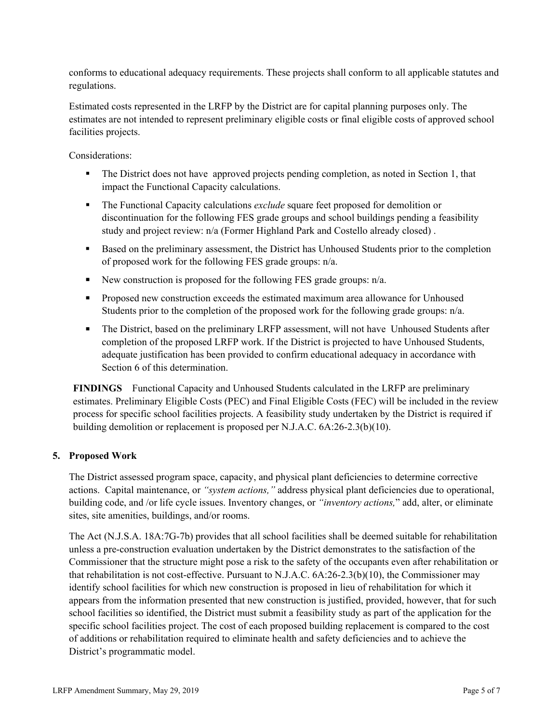conforms to educational adequacy requirements. These projects shall conform to all applicable statutes and regulations.

Estimated costs represented in the LRFP by the District are for capital planning purposes only. The estimates are not intended to represent preliminary eligible costs or final eligible costs of approved school facilities projects.

Considerations:

- The District does not have approved projects pending completion, as noted in Section 1, that impact the Functional Capacity calculations.
- The Functional Capacity calculations *exclude* square feet proposed for demolition or discontinuation for the following FES grade groups and school buildings pending a feasibility study and project review: n/a (Former Highland Park and Costello already closed) .
- Based on the preliminary assessment, the District has Unhoused Students prior to the completion of proposed work for the following FES grade groups: n/a.
- New construction is proposed for the following FES grade groups:  $n/a$ .
- **Proposed new construction exceeds the estimated maximum area allowance for Unhoused** Students prior to the completion of the proposed work for the following grade groups: n/a.
- The District, based on the preliminary LRFP assessment, will not have Unhoused Students after completion of the proposed LRFP work. If the District is projected to have Unhoused Students, adequate justification has been provided to confirm educational adequacy in accordance with Section 6 of this determination.

**FINDINGS** Functional Capacity and Unhoused Students calculated in the LRFP are preliminary estimates. Preliminary Eligible Costs (PEC) and Final Eligible Costs (FEC) will be included in the review process for specific school facilities projects. A feasibility study undertaken by the District is required if building demolition or replacement is proposed per N.J.A.C. 6A:26-2.3(b)(10).

# **5. Proposed Work**

The District assessed program space, capacity, and physical plant deficiencies to determine corrective actions. Capital maintenance, or *"system actions,"* address physical plant deficiencies due to operational, building code, and /or life cycle issues. Inventory changes, or *"inventory actions,*" add, alter, or eliminate sites, site amenities, buildings, and/or rooms.

The Act (N.J.S.A. 18A:7G-7b) provides that all school facilities shall be deemed suitable for rehabilitation unless a pre-construction evaluation undertaken by the District demonstrates to the satisfaction of the Commissioner that the structure might pose a risk to the safety of the occupants even after rehabilitation or that rehabilitation is not cost-effective. Pursuant to N.J.A.C. 6A:26-2.3(b)(10), the Commissioner may identify school facilities for which new construction is proposed in lieu of rehabilitation for which it appears from the information presented that new construction is justified, provided, however, that for such school facilities so identified, the District must submit a feasibility study as part of the application for the specific school facilities project. The cost of each proposed building replacement is compared to the cost of additions or rehabilitation required to eliminate health and safety deficiencies and to achieve the District's programmatic model.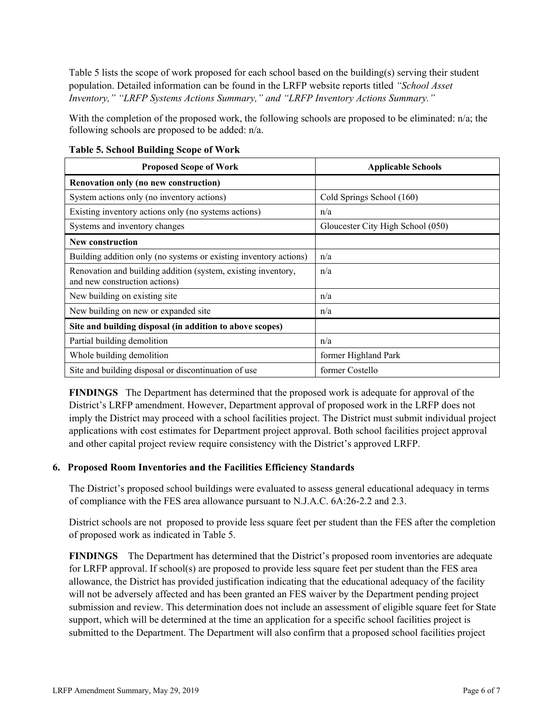Table 5 lists the scope of work proposed for each school based on the building(s) serving their student population. Detailed information can be found in the LRFP website reports titled *"School Asset Inventory," "LRFP Systems Actions Summary," and "LRFP Inventory Actions Summary."*

With the completion of the proposed work, the following schools are proposed to be eliminated: n/a; the following schools are proposed to be added: n/a.

| <b>Proposed Scope of Work</b>                                                                  | <b>Applicable Schools</b>         |
|------------------------------------------------------------------------------------------------|-----------------------------------|
| Renovation only (no new construction)                                                          |                                   |
| System actions only (no inventory actions)                                                     | Cold Springs School (160)         |
| Existing inventory actions only (no systems actions)                                           | n/a                               |
| Systems and inventory changes                                                                  | Gloucester City High School (050) |
| New construction                                                                               |                                   |
| Building addition only (no systems or existing inventory actions)                              | n/a                               |
| Renovation and building addition (system, existing inventory,<br>and new construction actions) | n/a                               |
| New building on existing site                                                                  | n/a                               |
| New building on new or expanded site                                                           | n/a                               |
| Site and building disposal (in addition to above scopes)                                       |                                   |
| Partial building demolition                                                                    | n/a                               |
| Whole building demolition                                                                      | former Highland Park              |
| Site and building disposal or discontinuation of use                                           | former Costello                   |

**Table 5. School Building Scope of Work**

**FINDINGS** The Department has determined that the proposed work is adequate for approval of the District's LRFP amendment. However, Department approval of proposed work in the LRFP does not imply the District may proceed with a school facilities project. The District must submit individual project applications with cost estimates for Department project approval. Both school facilities project approval and other capital project review require consistency with the District's approved LRFP.

# **6. Proposed Room Inventories and the Facilities Efficiency Standards**

The District's proposed school buildings were evaluated to assess general educational adequacy in terms of compliance with the FES area allowance pursuant to N.J.A.C. 6A:26-2.2 and 2.3.

District schools are not proposed to provide less square feet per student than the FES after the completion of proposed work as indicated in Table 5.

**FINDINGS** The Department has determined that the District's proposed room inventories are adequate for LRFP approval. If school(s) are proposed to provide less square feet per student than the FES area allowance, the District has provided justification indicating that the educational adequacy of the facility will not be adversely affected and has been granted an FES waiver by the Department pending project submission and review. This determination does not include an assessment of eligible square feet for State support, which will be determined at the time an application for a specific school facilities project is submitted to the Department. The Department will also confirm that a proposed school facilities project